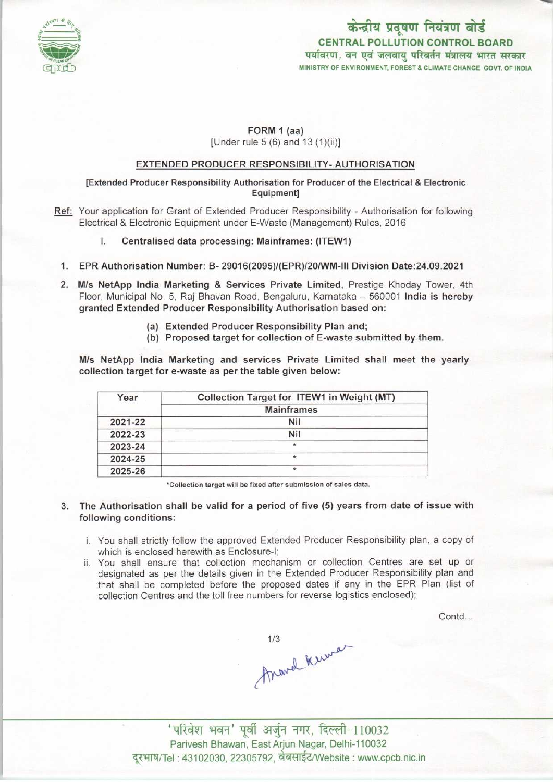

# केन्द्रीय प्रदूषण नियंत्रण बोर्ड CENTRAL POLLUTION CONTROL BOARD पर्यावरण, वन एवं जलवाय परिवर्तन मंत्रालय भारत सरकार MINISTRY OF ENVIRONMENT, FOREST S CLIMATE CHANGE GOVT. OF INDIA

# FORM 1 (aa)

[Under rule 5 (6) and 13 (1)(ii)]

# EXTENDED PRODUCER RESPONSIBILITY-AUTHORISATION

### [Extended Producer Responsibility Authorisation for Producer of the Electrical & Electronic Equipment]

- Ref: Your application for Grant of Extended Producer Responsibility Authorisation for following Electrical & Electronic Equipment under E-Waste (Management) Rules, 2016
	- I. Centralised data processing: Mainframes: (ITEW1)
	- 1.EPR Authorisation Number: B- 29O16(2095)/(EPR)/20/WM-lll Division Date:24.09.2021
	- 2.M/s NetApp India Marketing & Services Private Limited, Prestige Khoday Tower, 4th Floor, Municipal No. 5, Raj Bhavan Road, Bengaluru, Karnataka - 560001 India is hereby granted Extended Producer Responsibility Authorisation based on:
		- (a)Extended Producer Responsibility Plan and;
		- (b) Proposed target for collection of E-waste submitted by them.

M/s NetApp India Marketing and services Private Limited shall meet the yearly collection target for e-waste as per the table given below:

| Year    | Collection Target for ITEW1 in Weight (MT) |
|---------|--------------------------------------------|
|         | <b>Mainframes</b>                          |
| 2021-22 | Nil                                        |
| 2022-23 | Nil                                        |
| 2023-24 | $\star$                                    |
| 2024-25 | ×                                          |
| 2025-26 | $\star$                                    |

•Collection target will be fixed after submission of sales data.

- 3. The Authorisation shall be valid for a period of five (5) yearsfrom date of issue with following conditions:
	- i. You shall strictly follow the approved Extended Producer Responsibility plan, a copy of which is enclosed herewith as Enclosure-I;
	- ii. You shall ensure that collection mechanism or collection Centres are set up or designated as per the details given in the Extended Producer Responsibility plan and that shall be completed before the proposed dates if any in the EPR Plan (list of collection Centres and the toll free numbers for reverse logistics enclosed);

Contd...

1/3<br>Anavel Kuwa

'परिवेश भवन' पूर्वी अर्जुन नगर, दिल्ली-110032 Parivesh Bhawan, East Arjun Nagar, Delhi-110032 दूरभाष/Tel: 43102030, 22305792, वेबसाईट/Website : www.cpcb.nic.in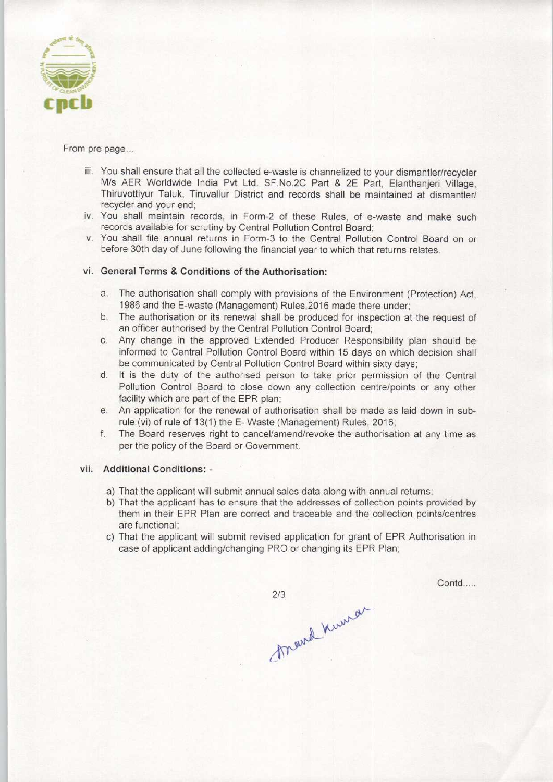

From pre page...

- iii. You shall ensure that all the collected e-waste is channelized to your dismantler/recycler M/s AER Worldwide India Pvt Ltd. SF.No.2C Part & 2E Part, Elanthanjeri Village, Thiruvottiyur Taluk, Tiruvallur District and records shall be maintained at dismantler/ recycler and your end;
- iv. You shall maintain records, in Form-2 of these Rules, of e-waste and make such records available for scrutiny by Central Pollution Control Board;
- v. You shall file annual returns in Form-3 to the Central Pollution Control Board on or before 30th day of June following the financial year to which that returns relates.

# vi. General Terms & Conditions of the Authorisation:

- a. The authorisation shall comply with provisions of the Environment (Protection) Act, 1986 and the E-waste (Management) Rules,2016 made there under;
- b. The authorisation or its renewal shall be produced for inspection at the request of an officer authorised by the Central Pollution Control Board;
- c.Any change in the approved Extended Producer Responsibility plan should be informed to Central Pollution Control Board within 15 days on which decision shall be communicated by Central Pollution Control Board within sixty days;
- d. It is the duty of the authorised person to take prior permission of the Central Pollution Control Board to close down any collection centre/points or any other facility which are part of the EPR plan;
- e.An application for the renewal of authorisation shall be made aslaid down in subrule (vi) of rule of 13(1) the E-Waste (Management) Rules, 2016;
- f.The Board reserves right to cancel/amend/revoke the authorisation at any time as per the policy of the Board or Government.

# vii. Additional Conditions: -

- a) That the applicant will submit annual sales data along with annual returns;
- b) That the applicant has to ensure that the addresses of collection points provided by them in their EPR Plan are correct and traceable and the collection points/centres are functional;
- c) That the applicant will submit revised application for grant of EPR Authorisation in case of applicant adding/changing PRO or changing its EPR Plan;

 $2/3$ 

Contd....

march Kuman